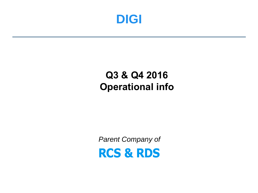

## **Q3 & Q4 2016 Operational info**

*Parent Company of***RCS & RDS**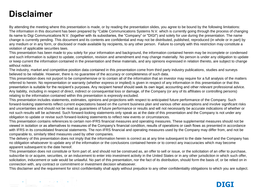## **Disclaimer**

By attending the meeting where this presentation is made, or by reading the presentation slides, you agree to be bound by the following limitations: The information in this document has been prepared by "Cable Communications Systems N.V. which is currently going through the process of changing its name to Digi Communications N.V. (together with its subsidiaries, the "Company" or "DIGI") and solely for use during the presentation. The name change is currently pending. This document and its contents are confidential and may not be distributed, published, reproduced (in whole or in part) by any medium or in any form, or disclosed or made available by recipients, to any other person. Failure to comply with this restriction may constitute a violation of applicable securities laws.

This presentation has been made to you solely for your information and background, the information contained herein may be incomplete or condensed and such information is subject to update, completion, revision and amendment and may change materially. No person is under any obligation to update or keep current the information contained in the presentation and these materials, and any opinions expressed in relation thereto, are subject to change without notice.

The industry, market and competitive position data contained in this presentation come from third party industry publications, studies and surveys believed to be reliable. However, there is no guarantee of the accuracy or completeness of such data.

This presentation does not purport to be comprehensive or to contain all of the information that an investor may require for a full analysis of the matters referred to herein. No representation or warranty (whether express or implied) is given in respect of any information in this presentation or that this presentation is suitable for the recipient's purposes. Any recipient hereof should seek its own legal, accounting and other relevant professional advice. Any liability, including in respect of direct, indirect or consequential loss or damage, of the Company (or any of its affiliates or controlling persons) relating to the information contained within this presentation is expressly excluded.

This presentation includes statements, estimates, opinions and projections with respect to anticipated future performance of the Company. Such forward-looking statements reflect current expectations based on the current business plan and various other assumptions and involve significant risks and uncertainties and should not be read as guarantees of future performance or results and will not necessarily be accurate indications of whether or not such results will be achieved. Such forward-looking statements only speak as at the date of this presentation and the Company is not under any obligation to update or revise such forward-looking statements to reflect new events or circumstances.

This presentation contains references to certain non-IFRS financial measures and operating measures. These supplemental measures should not be viewed in isolation or as alternatives to measures of the Company's financial condition, results of operations or cash flows as presented in accordance with IFRS in its consolidated financial statements. The non-IFRS financial and operating measures used by the Company may differ from, and not be comparable to, similarly titled measures used by other companies.

The delivery of this presentation does not imply that the information herein is correct as at any time subsequent to the date hereof and the Company has no obligation whatsoever to update any of the information or the conclusions contained herein or to correct any inaccuracies which may become apparent subsequent to the date hereof.

This presentation does not constitute or form part of, and should not be construed as, an offer to sell or issue, or the solicitation of an offer to purchase, subscribe to or acquire, securities, or an inducement to enter into investment activity in the United States or in any other jurisdiction in which such offer, solicitation, inducement or sale would be unlawful. No part of this presentation, nor the fact of its distribution, should form the basis of, or be relied on in connection with, any contract or commitment or investment decision whatsoever.

This disclaimer and the requirement for strict confidentiality shall apply without prejudice to any other confidentiality obligations to which you are subject.



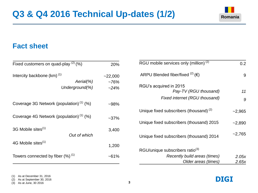

## **Fact sheet**

| Fixed customers on quad-play $(2)$ (%)              | 20%       | RGU mobile services only (million) <sup>(2)</sup>  | 0.2      |
|-----------------------------------------------------|-----------|----------------------------------------------------|----------|
| Intercity backbone (km) <sup>(1)</sup>              | $-22,000$ | ARPU Blended fiber/fixed $^{(2)}$ ( $\in$ )        | 9        |
| $Aerial(\%)$                                        | ~176%     |                                                    |          |
| Underground(%)                                      | $-24%$    | RGU's acquired in 2015<br>Pay-TV (RGU thousand)    | 11       |
|                                                     |           | Fixed internet (RGU thousand)                      | 9        |
| Coverage 3G Network (population) <sup>(1)</sup> (%) | $-98%$    |                                                    |          |
|                                                     |           | Unique fixed subscribers (thousand) <sup>(2)</sup> | $-2,965$ |
| Coverage 4G Network (population) <sup>(1)</sup> (%) | $-37%$    | Unique fixed subscribers (thousand) 2015           | $-2,890$ |
| 3G Mobile sites <sup>(1)</sup>                      | 3,400     |                                                    |          |
| Out of which                                        |           | Unique fixed subscribers (thousand) 2014           | $-2,765$ |
| 4G Mobile sites <sup>(1)</sup>                      | 1,200     |                                                    |          |
|                                                     |           | RGU/unique subscribers ratio <sup>(3)</sup>        |          |
| Towers connected by fiber (%) <sup>(1)</sup>        | $~1\%$    | Recently build areas (times)                       | 2.05x    |
|                                                     |           | Older areas (times)                                | 2.65x    |